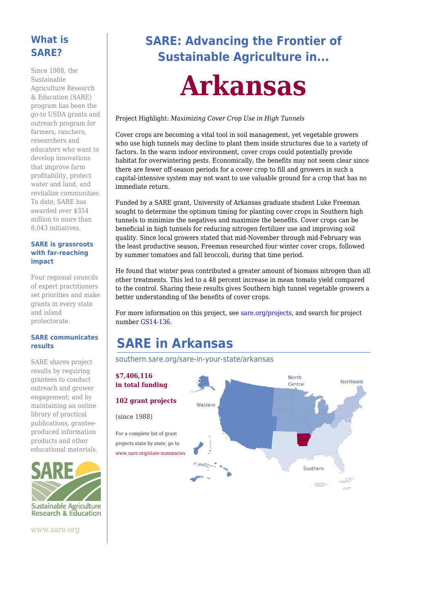### **What is SARE?**

Since 1988, the Sustainable Agriculture Research & Education (SARE) program has been the go-to USDA grants and outreach program for farmers, ranchers, researchers and educators who want to develop innovations that improve farm profitability, protect water and land, and revitalize communities. To date, SARE has awarded over \$354 million to more than 8,043 initiatives.

#### **SARE is grassroots with far-reaching impact**

Four regional councils of expert practitioners set priorities and make grants in every state and island protectorate.

#### **SARE communicates results**

SARE shares project results by requiring grantees to conduct outreach and grower engagement; and by maintaining an online library of practical publications, granteeproduced information products and other educational materials.



www.sare.org

**SARE: Advancing the Frontier of Sustainable Agriculture in...**

# **Arkansas**

#### Project Highlight: *Maximizing Cover Crop Use in High Tunnels*

Cover crops are becoming a vital tool in soil management, yet vegetable growers who use high tunnels may decline to plant them inside structures due to a variety of factors. In the warm indoor environment, cover crops could potentially provide habitat for overwintering pests. Economically, the benefits may not seem clear since there are fewer off-season periods for a cover crop to fill and growers in such a capital-intensive system may not want to use valuable ground for a crop that has no immediate return.

Funded by a SARE grant, University of Arkansas graduate student Luke Freeman sought to determine the optimum timing for planting cover crops in Southern high tunnels to minimize the negatives and maximize the benefits. Cover crops can be beneficial in high tunnels for reducing nitrogen fertilizer use and improving soil quality. Since local growers stated that mid-November through mid-February was the least productive season, Freeman researched four winter cover crops, followed by summer tomatoes and fall broccoli, during that time period.

He found that winter peas contributed a greater amount of biomass nitrogen than all other treatments. This led to a 48 percent increase in mean tomato yield compared to the control. Sharing these results gives Southern high tunnel vegetable growers a better understanding of the benefits of cover crops.

For more information on this project, see [sare.org/projects](https://www.sare.org/projects), and search for project number [GS14-136.](https://projects.sare.org/sare_project/gs14-136/)

# **SARE in Arkansas**

[southern.sare.org/sare-in-your-state/arkansas](https://southern.sare.org/sare-in-your-state/arkansas)

### **\$7,406,116 in total funding**

(since 1988)

For a complete list of grant projects state by state, go to [www.sare.org/state-summaries](https://www.sare.org/state-summaries)

Northeast Central **102 grant projects** Western Southern فيحتمد  $\sqrt{2}$ 

North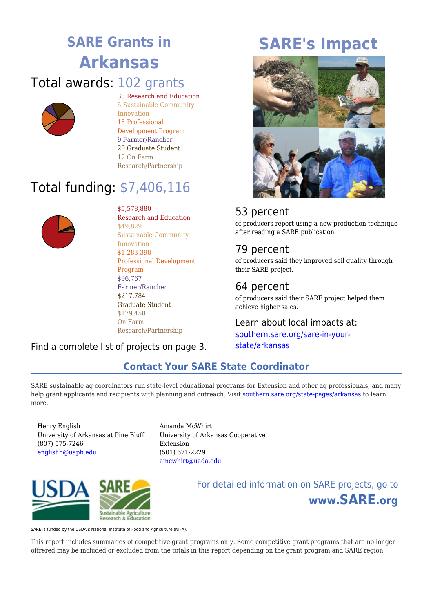# **SARE Grants in Arkansas**

### Total awards: 102 grants



38 Research and Education 5 Sustainable Community Innovation 18 Professional Development Program 9 Farmer/Rancher 20 Graduate Student 12 On Farm Research/Partnership

# Total funding: \$7,406,116



\$5,578,880

Research and Education \$49,829 Sustainable Community Innovation \$1,283,398 Professional Development Program \$96,767 Farmer/Rancher \$217,784 Graduate Student \$179,458 On Farm Research/Partnership

### Find a complete list of projects on page 3.

# **SARE's Impact**



### 53 percent

of producers report using a new production technique after reading a SARE publication.

### 79 percent

of producers said they improved soil quality through their SARE project.

### 64 percent

of producers said their SARE project helped them achieve higher sales.

### Learn about local impacts at: [southern.sare.org/sare-in-your-](https://southern.sare.org/sare-in-your-state/arkansas)

[state/arkansas](https://southern.sare.org/sare-in-your-state/arkansas)

# **Contact Your SARE State Coordinator**

SARE sustainable ag coordinators run state-level educational programs for Extension and other ag professionals, and many help grant applicants and recipients with planning and outreach. Visit [southern.sare.org/state-pages/arkansas](https://southern.sare.org/state-pages/arkansas) to learn more.

Henry English University of Arkansas at Pine Bluff (807) 575-7246 [englishh@uapb.edu](mailto:englishh@uapb.edu)

Amanda McWhirt University of Arkansas Cooperative Extension (501) 671-2229 [amcwhirt@uada.edu](mailto:amcwhirt@uada.edu)



For detailed information on SARE projects, go to **www.SARE.org**

SARE is funded by the USDA's National Institute of Food and Agriculture (NIFA).

This report includes summaries of competitive grant programs only. Some competitive grant programs that are no longer offrered may be included or excluded from the totals in this report depending on the grant program and SARE region.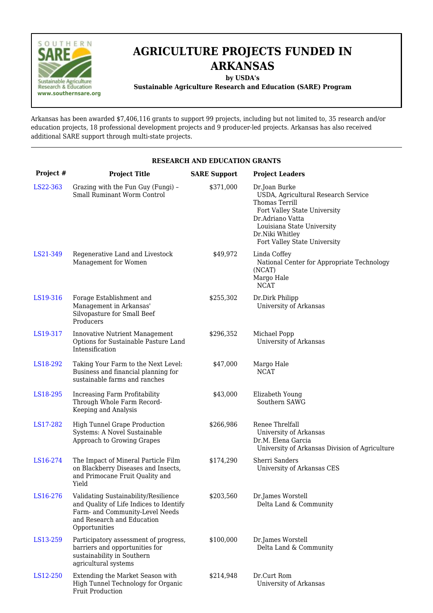

## **AGRICULTURE PROJECTS FUNDED IN ARKANSAS**

**by USDA's**

**Sustainable Agriculture Research and Education (SARE) Program**

Arkansas has been awarded \$7,406,116 grants to support 99 projects, including but not limited to, 35 research and/or education projects, 18 professional development projects and 9 producer-led projects. Arkansas has also received additional SARE support through multi-state projects.

|           | <b>RESEARCH AND EDUCATION GRANTS</b>                                                                                                                              |                     |                                                                                                                                                                                                             |  |  |
|-----------|-------------------------------------------------------------------------------------------------------------------------------------------------------------------|---------------------|-------------------------------------------------------------------------------------------------------------------------------------------------------------------------------------------------------------|--|--|
| Project # | <b>Project Title</b>                                                                                                                                              | <b>SARE Support</b> | <b>Project Leaders</b>                                                                                                                                                                                      |  |  |
| LS22-363  | Grazing with the Fun Guy (Fungi) -<br>Small Ruminant Worm Control                                                                                                 | \$371,000           | Dr.Joan Burke<br>USDA, Agricultural Research Service<br>Thomas Terrill<br>Fort Valley State University<br>Dr.Adriano Vatta<br>Louisiana State University<br>Dr.Niki Whitley<br>Fort Valley State University |  |  |
| LS21-349  | Regenerative Land and Livestock<br>Management for Women                                                                                                           | \$49,972            | Linda Coffey<br>National Center for Appropriate Technology<br>(NCAT)<br>Margo Hale<br><b>NCAT</b>                                                                                                           |  |  |
| LS19-316  | Forage Establishment and<br>Management in Arkansas'<br>Silvopasture for Small Beef<br>Producers                                                                   | \$255,302           | Dr.Dirk Philipp<br>University of Arkansas                                                                                                                                                                   |  |  |
| LS19-317  | <b>Innovative Nutrient Management</b><br>Options for Sustainable Pasture Land<br>Intensification                                                                  | \$296,352           | Michael Popp<br>University of Arkansas                                                                                                                                                                      |  |  |
| LS18-292  | Taking Your Farm to the Next Level:<br>Business and financial planning for<br>sustainable farms and ranches                                                       | \$47,000            | Margo Hale<br><b>NCAT</b>                                                                                                                                                                                   |  |  |
| LS18-295  | Increasing Farm Profitability<br>Through Whole Farm Record-<br>Keeping and Analysis                                                                               | \$43,000            | Elizabeth Young<br>Southern SAWG                                                                                                                                                                            |  |  |
| LS17-282  | High Tunnel Grape Production<br>Systems: A Novel Sustainable<br>Approach to Growing Grapes                                                                        | \$266,986           | Renee Threlfall<br>University of Arkansas<br>Dr.M. Elena Garcia<br>University of Arkansas Division of Agriculture                                                                                           |  |  |
| LS16-274  | The Impact of Mineral Particle Film<br>on Blackberry Diseases and Insects,<br>and Primocane Fruit Quality and<br>Yield                                            | \$174,290           | Sherri Sanders<br>University of Arkansas CES                                                                                                                                                                |  |  |
| LS16-276  | Validating Sustainability/Resilience<br>and Quality of Life Indices to Identify<br>Farm- and Community-Level Needs<br>and Research and Education<br>Opportunities | \$203,560           | Dr.James Worstell<br>Delta Land & Community                                                                                                                                                                 |  |  |
| LS13-259  | Participatory assessment of progress,<br>barriers and opportunities for<br>sustainability in Southern<br>agricultural systems                                     | \$100,000           | Dr.James Worstell<br>Delta Land & Community                                                                                                                                                                 |  |  |
| LS12-250  | Extending the Market Season with<br>High Tunnel Technology for Organic<br>Fruit Production                                                                        | \$214,948           | Dr.Curt Rom<br>University of Arkansas                                                                                                                                                                       |  |  |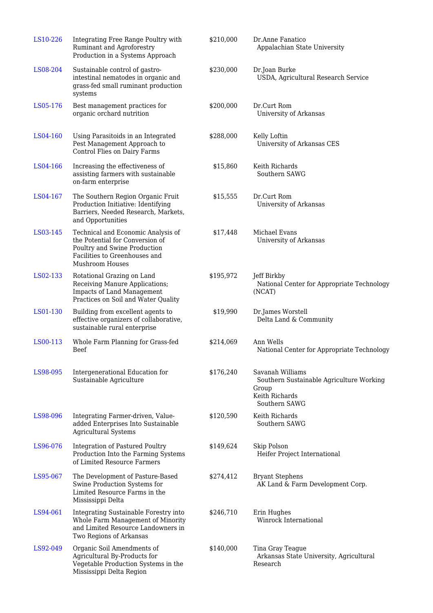| LS10-226 | Integrating Free Range Poultry with<br>Ruminant and Agroforestry<br>Production in a Systems Approach                                                             | \$210,000 | Dr.Anne Fanatico<br>Appalachian State University                                                         |
|----------|------------------------------------------------------------------------------------------------------------------------------------------------------------------|-----------|----------------------------------------------------------------------------------------------------------|
| LS08-204 | Sustainable control of gastro-<br>intestinal nematodes in organic and<br>grass-fed small ruminant production<br>systems                                          | \$230,000 | Dr.Joan Burke<br>USDA, Agricultural Research Service                                                     |
| LS05-176 | Best management practices for<br>organic orchard nutrition                                                                                                       | \$200,000 | Dr.Curt Rom<br>University of Arkansas                                                                    |
| LS04-160 | Using Parasitoids in an Integrated<br>Pest Management Approach to<br>Control Flies on Dairy Farms                                                                | \$288,000 | Kelly Loftin<br>University of Arkansas CES                                                               |
| LS04-166 | Increasing the effectiveness of<br>assisting farmers with sustainable<br>on-farm enterprise                                                                      | \$15,860  | Keith Richards<br>Southern SAWG                                                                          |
| LS04-167 | The Southern Region Organic Fruit<br>Production Initiative: Identifying<br>Barriers, Needed Research, Markets,<br>and Opportunities                              | \$15,555  | Dr.Curt Rom<br>University of Arkansas                                                                    |
| LS03-145 | Technical and Economic Analysis of<br>the Potential for Conversion of<br>Poultry and Swine Production<br>Facilities to Greenhouses and<br><b>Mushroom Houses</b> | \$17,448  | Michael Evans<br>University of Arkansas                                                                  |
| LS02-133 | Rotational Grazing on Land<br>Receiving Manure Applications;<br><b>Impacts of Land Management</b><br>Practices on Soil and Water Quality                         | \$195,972 | Jeff Birkby<br>National Center for Appropriate Technology<br>(NCAT)                                      |
| LS01-130 | Building from excellent agents to<br>effective organizers of collaborative,<br>sustainable rural enterprise                                                      | \$19,990  | Dr.James Worstell<br>Delta Land & Community                                                              |
| LS00-113 | Whole Farm Planning for Grass-fed<br><b>Beef</b>                                                                                                                 | \$214,069 | Ann Wells<br>National Center for Appropriate Technology                                                  |
| LS98-095 | Intergenerational Education for<br>Sustainable Agriculture                                                                                                       | \$176,240 | Savanah Williams<br>Southern Sustainable Agriculture Working<br>Group<br>Keith Richards<br>Southern SAWG |
| LS98-096 | Integrating Farmer-driven, Value-<br>added Enterprises Into Sustainable<br><b>Agricultural Systems</b>                                                           | \$120,590 | Keith Richards<br>Southern SAWG                                                                          |
| LS96-076 | <b>Integration of Pastured Poultry</b><br>Production Into the Farming Systems<br>of Limited Resource Farmers                                                     | \$149,624 | Skip Polson<br>Heifer Project International                                                              |
| LS95-067 | The Development of Pasture-Based<br>Swine Production Systems for<br>Limited Resource Farms in the<br>Mississippi Delta                                           | \$274,412 | <b>Bryant Stephens</b><br>AK Land & Farm Development Corp.                                               |
| LS94-061 | Integrating Sustainable Forestry into<br>Whole Farm Management of Minority<br>and Limited Resource Landowners in<br>Two Regions of Arkansas                      | \$246,710 | Erin Hughes<br>Winrock International                                                                     |
| LS92-049 | Organic Soil Amendments of<br>Agricultural By-Products for<br>Vegetable Production Systems in the<br>Mississippi Delta Region                                    | \$140,000 | Tina Gray Teague<br>Arkansas State University, Agricultural<br>Research                                  |
|          |                                                                                                                                                                  |           |                                                                                                          |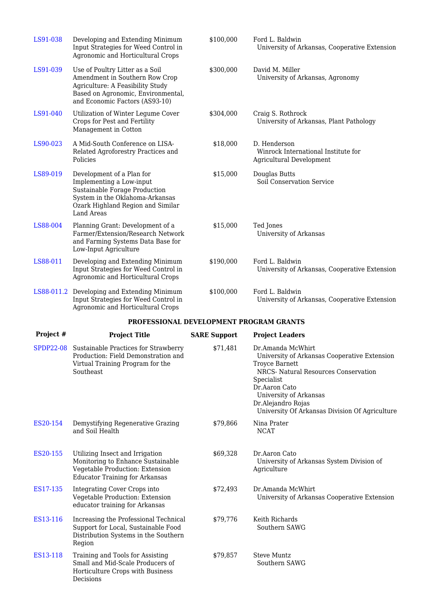| LS91-038                                | Developing and Extending Minimum<br>Input Strategies for Weed Control in<br>Agronomic and Horticultural Crops                                                                 | \$100,000 | Ford L. Baldwin<br>University of Arkansas, Cooperative Extension                       |  |
|-----------------------------------------|-------------------------------------------------------------------------------------------------------------------------------------------------------------------------------|-----------|----------------------------------------------------------------------------------------|--|
| LS91-039                                | Use of Poultry Litter as a Soil<br>Amendment in Southern Row Crop<br>Agriculture: A Feasibility Study<br>Based on Agronomic, Environmental,<br>and Economic Factors (AS93-10) | \$300,000 | David M. Miller<br>University of Arkansas, Agronomy                                    |  |
| LS91-040                                | Utilization of Winter Legume Cover<br>Crops for Pest and Fertility<br>Management in Cotton                                                                                    | \$304,000 | Craig S. Rothrock<br>University of Arkansas, Plant Pathology                           |  |
| LS90-023                                | A Mid-South Conference on LISA-<br>Related Agroforestry Practices and<br>Policies                                                                                             | \$18,000  | D. Henderson<br>Winrock International Institute for<br><b>Agricultural Development</b> |  |
| LS89-019                                | Development of a Plan for<br>Implementing a Low-input<br>Sustainable Forage Production<br>System in the Oklahoma-Arkansas<br>Ozark Highland Region and Similar<br>Land Areas  | \$15,000  | Douglas Butts<br><b>Soil Conservation Service</b>                                      |  |
| LS88-004                                | Planning Grant: Development of a<br>Farmer/Extension/Research Network<br>and Farming Systems Data Base for<br>Low-Input Agriculture                                           | \$15,000  | Ted Jones<br>University of Arkansas                                                    |  |
| LS88-011                                | Developing and Extending Minimum<br>Input Strategies for Weed Control in<br>Agronomic and Horticultural Crops                                                                 | \$190,000 | Ford L. Baldwin<br>University of Arkansas, Cooperative Extension                       |  |
|                                         | LS88-011.2 Developing and Extending Minimum<br>Input Strategies for Weed Control in<br>Agronomic and Horticultural Crops                                                      | \$100,000 | Ford L. Baldwin<br>University of Arkansas, Cooperative Extension                       |  |
| PROFESSIONAL DEVELOPMENT PROGRAM GRANTS |                                                                                                                                                                               |           |                                                                                        |  |

#### **PROFESSIONAL DEVELOPMENT PROGRAM GRANTS**

| Project # | <b>Project Title</b>                                                                                                                             | <b>SARE Support</b> | <b>Project Leaders</b>                                                                                                                                                                                                                                       |
|-----------|--------------------------------------------------------------------------------------------------------------------------------------------------|---------------------|--------------------------------------------------------------------------------------------------------------------------------------------------------------------------------------------------------------------------------------------------------------|
|           | SPDP22-08 Sustainable Practices for Strawberry<br>Production: Field Demonstration and<br>Virtual Training Program for the<br>Southeast           | \$71,481            | Dr.Amanda McWhirt<br>University of Arkansas Cooperative Extension<br>Troyce Barnett<br>NRCS- Natural Resources Conservation<br>Specialist<br>Dr.Aaron Cato<br>University of Arkansas<br>Dr.Alejandro Rojas<br>University Of Arkansas Division Of Agriculture |
| ES20-154  | Demystifying Regenerative Grazing<br>and Soil Health                                                                                             | \$79,866            | Nina Prater<br><b>NCAT</b>                                                                                                                                                                                                                                   |
| ES20-155  | Utilizing Insect and Irrigation<br>Monitoring to Enhance Sustainable<br>Vegetable Production: Extension<br><b>Educator Training for Arkansas</b> | \$69,328            | Dr.Aaron Cato<br>University of Arkansas System Division of<br>Agriculture                                                                                                                                                                                    |
| ES17-135  | <b>Integrating Cover Crops into</b><br>Vegetable Production: Extension<br>educator training for Arkansas                                         | \$72,493            | Dr.Amanda McWhirt<br>University of Arkansas Cooperative Extension                                                                                                                                                                                            |
| ES13-116  | Increasing the Professional Technical<br>Support for Local, Sustainable Food<br>Distribution Systems in the Southern<br>Region                   | \$79,776            | Keith Richards<br>Southern SAWG                                                                                                                                                                                                                              |
| ES13-118  | Training and Tools for Assisting<br>Small and Mid-Scale Producers of<br>Horticulture Crops with Business<br>Decisions                            | \$79,857            | <b>Steve Muntz</b><br>Southern SAWG                                                                                                                                                                                                                          |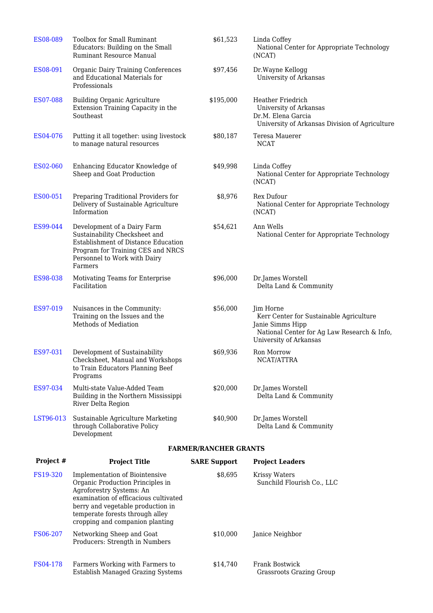| ES08-089        | Toolbox for Small Ruminant<br>Educators: Building on the Small<br>Ruminant Resource Manual                                                                                                                                                         | \$61,523                     | Linda Coffey<br>National Center for Appropriate Technology<br>(NCAT)                                                                              |
|-----------------|----------------------------------------------------------------------------------------------------------------------------------------------------------------------------------------------------------------------------------------------------|------------------------------|---------------------------------------------------------------------------------------------------------------------------------------------------|
| ES08-091        | <b>Organic Dairy Training Conferences</b><br>and Educational Materials for<br>Professionals                                                                                                                                                        | \$97,456                     | Dr.Wayne Kellogg<br>University of Arkansas                                                                                                        |
| ES07-088        | <b>Building Organic Agriculture</b><br>Extension Training Capacity in the<br>Southeast                                                                                                                                                             | \$195,000                    | <b>Heather Friedrich</b><br>University of Arkansas<br>Dr.M. Elena Garcia<br>University of Arkansas Division of Agriculture                        |
| ES04-076        | Putting it all together: using livestock<br>to manage natural resources                                                                                                                                                                            | \$80,187                     | Teresa Mauerer<br><b>NCAT</b>                                                                                                                     |
| ES02-060        | Enhancing Educator Knowledge of<br>Sheep and Goat Production                                                                                                                                                                                       | \$49,998                     | Linda Coffey<br>National Center for Appropriate Technology<br>(NCAT)                                                                              |
| ES00-051        | Preparing Traditional Providers for<br>Delivery of Sustainable Agriculture<br>Information                                                                                                                                                          | \$8,976                      | Rex Dufour<br>National Center for Appropriate Technology<br>(NCAT)                                                                                |
| ES99-044        | Development of a Dairy Farm<br>Sustainability Checksheet and<br>Establishment of Distance Education<br>Program for Training CES and NRCS<br>Personnel to Work with Dairy<br>Farmers                                                                | \$54,621                     | Ann Wells<br>National Center for Appropriate Technology                                                                                           |
| ES98-038        | Motivating Teams for Enterprise<br>Facilitation                                                                                                                                                                                                    | \$96,000                     | Dr.James Worstell<br>Delta Land & Community                                                                                                       |
| ES97-019        | Nuisances in the Community:<br>Training on the Issues and the<br>Methods of Mediation                                                                                                                                                              | \$56,000                     | Jim Horne<br>Kerr Center for Sustainable Agriculture<br>Janie Simms Hipp<br>National Center for Ag Law Research & Info,<br>University of Arkansas |
| ES97-031        | Development of Sustainability<br>Checksheet, Manual and Workshops<br>to Train Educators Planning Beef<br>Programs                                                                                                                                  | \$69,936                     | Ron Morrow<br>NCAT/ATTRA                                                                                                                          |
| ES97-034        | Multi-state Value-Added Team<br>Building in the Northern Mississippi<br>River Delta Region                                                                                                                                                         | \$20,000                     | Dr.James Worstell<br>Delta Land & Community                                                                                                       |
| LST96-013       | Sustainable Agriculture Marketing<br>through Collaborative Policy<br>Development                                                                                                                                                                   | \$40,900                     | Dr.James Worstell<br>Delta Land & Community                                                                                                       |
|                 |                                                                                                                                                                                                                                                    | <b>FARMER/RANCHER GRANTS</b> |                                                                                                                                                   |
| Project #       | <b>Project Title</b>                                                                                                                                                                                                                               | <b>SARE Support</b>          | <b>Project Leaders</b>                                                                                                                            |
| <b>FS19-320</b> | Implementation of Biointensive<br>Organic Production Principles in<br>Agroforestry Systems: An<br>examination of efficacious cultivated<br>berry and vegetable production in<br>temperate forests through alley<br>cropping and companion planting | \$8,695                      | <b>Krissy Waters</b><br>Sunchild Flourish Co., LLC                                                                                                |
| FS06-207        | Networking Sheep and Goat<br>Producers: Strength in Numbers                                                                                                                                                                                        | \$10,000                     | Janice Neighbor                                                                                                                                   |
| FS04-178        | Farmers Working with Farmers to<br><b>Establish Managed Grazing Systems</b>                                                                                                                                                                        | \$14,740                     | Frank Bostwick<br><b>Grassroots Grazing Group</b>                                                                                                 |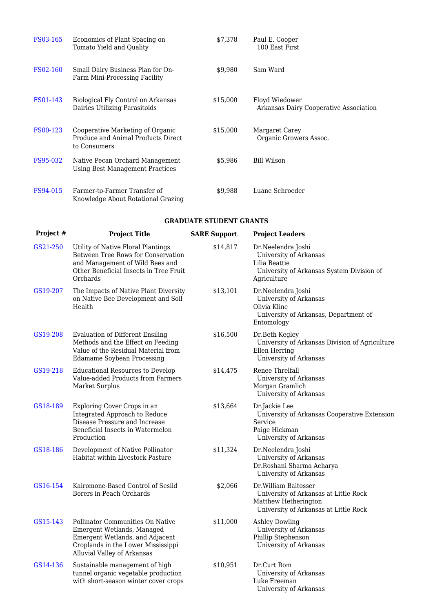| <b>FS03-165</b> | Economics of Plant Spacing on<br>Tomato Yield and Quality                              | \$7,378  | Paul E. Cooper<br>100 East First                         |
|-----------------|----------------------------------------------------------------------------------------|----------|----------------------------------------------------------|
| <b>FS02-160</b> | Small Dairy Business Plan for On-<br>Farm Mini-Processing Facility                     | \$9,980  | Sam Ward                                                 |
| FS01-143        | Biological Fly Control on Arkansas<br>Dairies Utilizing Parasitoids                    | \$15,000 | Floyd Wiedower<br>Arkansas Dairy Cooperative Association |
| FS00-123        | Cooperative Marketing of Organic<br>Produce and Animal Products Direct<br>to Consumers | \$15,000 | Margaret Carey<br>Organic Growers Assoc.                 |
| <b>FS95-032</b> | Native Pecan Orchard Management<br>Using Best Management Practices                     | \$5,986  | Bill Wilson                                              |
| FS94-015        | Farmer-to-Farmer Transfer of<br>Knowledge About Rotational Grazing                     | \$9,988  | Luane Schroeder                                          |

#### **GRADUATE STUDENT GRANTS**

| Project # | <b>Project Title</b>                                                                                                                                                   | <b>SARE Support</b> | <b>Project Leaders</b>                                                                                                         |
|-----------|------------------------------------------------------------------------------------------------------------------------------------------------------------------------|---------------------|--------------------------------------------------------------------------------------------------------------------------------|
| GS21-250  | Utility of Native Floral Plantings<br>Between Tree Rows for Conservation<br>and Management of Wild Bees and<br>Other Beneficial Insects in Tree Fruit<br>Orchards      | \$14,817            | Dr.Neelendra Joshi<br>University of Arkansas<br>Lilia Beattie<br>University of Arkansas System Division of<br>Agriculture      |
| GS19-207  | The Impacts of Native Plant Diversity<br>on Native Bee Development and Soil<br>Health                                                                                  | \$13,101            | Dr.Neelendra Joshi<br>University of Arkansas<br>Olivia Kline<br>University of Arkansas, Department of<br>Entomology            |
| GS19-208  | <b>Evaluation of Different Ensiling</b><br>Methods and the Effect on Feeding<br>Value of the Residual Material from<br><b>Edamame Soybean Processing</b>               | \$16,500            | Dr.Beth Kegley<br>University of Arkansas Division of Agriculture<br>Ellen Herring<br>University of Arkansas                    |
| GS19-218  | <b>Educational Resources to Develop</b><br>Value-added Products from Farmers<br>Market Surplus                                                                         | \$14,475            | Renee Threlfall<br>University of Arkansas<br>Morgan Gramlich<br>University of Arkansas                                         |
| GS18-189  | Exploring Cover Crops in an<br>Integrated Approach to Reduce<br>Disease Pressure and Increase<br>Beneficial Insects in Watermelon<br>Production                        | \$13,664            | Dr.Jackie Lee<br>University of Arkansas Cooperative Extension<br>Service<br>Paige Hickman<br>University of Arkansas            |
| GS18-186  | Development of Native Pollinator<br>Habitat within Livestock Pasture                                                                                                   | \$11,324            | Dr.Neelendra Joshi<br>University of Arkansas<br>Dr.Roshani Sharma Acharya<br>University of Arkansas                            |
| GS16-154  | Kairomone-Based Control of Sesiid<br>Borers in Peach Orchards                                                                                                          | \$2,066             | Dr.William Baltosser<br>University of Arkansas at Little Rock<br>Matthew Hetherington<br>University of Arkansas at Little Rock |
| GS15-143  | Pollinator Communities On Native<br>Emergent Wetlands, Managed<br>Emergent Wetlands, and Adjacent<br>Croplands in the Lower Mississippi<br>Alluvial Valley of Arkansas | \$11,000            | <b>Ashley Dowling</b><br>University of Arkansas<br>Phillip Stephenson<br>University of Arkansas                                |
| GS14-136  | Sustainable management of high<br>tunnel organic vegetable production<br>with short-season winter cover crops                                                          | \$10,951            | Dr.Curt Rom<br>University of Arkansas<br>Luke Freeman<br>University of Arkansas                                                |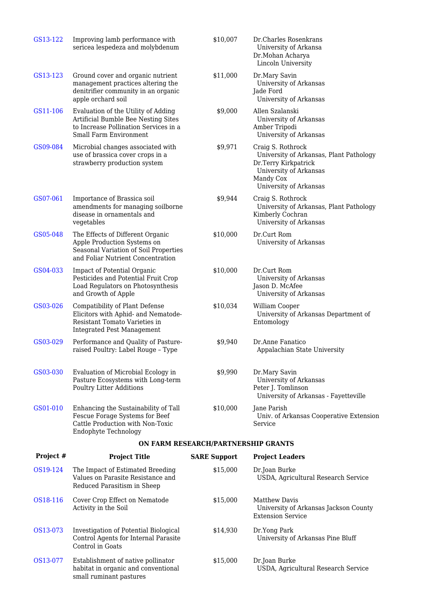| GS13-122  | Improving lamb performance with<br>sericea lespedeza and molybdenum                                                                           | \$10,007                            | Dr. Charles Rosenkrans<br>University of Arkansa<br>Dr.Mohan Acharya<br>Lincoln University                                                             |
|-----------|-----------------------------------------------------------------------------------------------------------------------------------------------|-------------------------------------|-------------------------------------------------------------------------------------------------------------------------------------------------------|
| GS13-123  | Ground cover and organic nutrient<br>management practices altering the<br>denitrifier community in an organic<br>apple orchard soil           | \$11,000                            | Dr.Mary Savin<br>University of Arkansas<br>Jade Ford<br>University of Arkansas                                                                        |
| GS11-106  | Evaluation of the Utility of Adding<br>Artificial Bumble Bee Nesting Sites<br>to Increase Pollination Services in a<br>Small Farm Environment | \$9,000                             | Allen Szalanski<br>University of Arkansas<br>Amber Tripodi<br>University of Arkansas                                                                  |
| GS09-084  | Microbial changes associated with<br>use of brassica cover crops in a<br>strawberry production system                                         | \$9,971                             | Craig S. Rothrock<br>University of Arkansas, Plant Pathology<br>Dr.Terry Kirkpatrick<br>University of Arkansas<br>Mandy Cox<br>University of Arkansas |
| GS07-061  | Importance of Brassica soil<br>amendments for managing soilborne<br>disease in ornamentals and<br>vegetables                                  | \$9,944                             | Craig S. Rothrock<br>University of Arkansas, Plant Pathology<br>Kimberly Cochran<br>University of Arkansas                                            |
| GS05-048  | The Effects of Different Organic<br>Apple Production Systems on<br>Seasonal Variation of Soil Properties<br>and Foliar Nutrient Concentration | \$10,000                            | Dr.Curt Rom<br>University of Arkansas                                                                                                                 |
| GS04-033  | Impact of Potential Organic<br>Pesticides and Potential Fruit Crop<br>Load Regulators on Photosynthesis<br>and Growth of Apple                | \$10,000                            | Dr.Curt Rom<br>University of Arkansas<br>Jason D. McAfee<br>University of Arkansas                                                                    |
| GS03-026  | Compatibility of Plant Defense<br>Elicitors with Aphid- and Nematode-<br>Resistant Tomato Varieties in<br><b>Integrated Pest Management</b>   | \$10,034                            | William Cooper<br>University of Arkansas Department of<br>Entomology                                                                                  |
| GS03-029  | Performance and Quality of Pasture-<br>raised Poultry: Label Rouge - Type                                                                     | \$9,940                             | Dr.Anne Fanatico<br>Appalachian State University                                                                                                      |
| GS03-030  | Evaluation of Microbial Ecology in<br>Pasture Ecosystems with Long-term<br><b>Poultry Litter Additions</b>                                    | \$9,990                             | Dr.Mary Savin<br>University of Arkansas<br>Peter J. Tomlinson<br>University of Arkansas - Fayetteville                                                |
| GS01-010  | Enhancing the Sustainability of Tall<br>Fescue Forage Systems for Beef<br>Cattle Production with Non-Toxic<br><b>Endophyte Technology</b>     | \$10,000                            | Jane Parish<br>Univ. of Arkansas Cooperative Extension<br>Service                                                                                     |
|           |                                                                                                                                               | ON FARM RESEARCH/PARTNERSHIP GRANTS |                                                                                                                                                       |
| Project # | <b>Project Title</b>                                                                                                                          | <b>SARE Support</b>                 | <b>Project Leaders</b>                                                                                                                                |
| OS19-124  | The Impact of Estimated Breeding<br>Values on Parasite Resistance and<br>Reduced Parasitism in Sheep                                          | \$15,000                            | Dr.Joan Burke<br>USDA, Agricultural Research Service                                                                                                  |
| OS18-116  | Cover Crop Effect on Nematode<br>Activity in the Soil                                                                                         | \$15,000                            | <b>Matthew Davis</b><br>University of Arkansas Jackson County<br><b>Extension Service</b>                                                             |
| OS13-073  | Investigation of Potential Biological<br>Control Agents for Internal Parasite<br>Control in Goats                                             | \$14,930                            | Dr.Yong Park<br>University of Arkansas Pine Bluff                                                                                                     |
| OS13-077  | Establishment of native pollinator<br>habitat in organic and conventional<br>small ruminant pastures                                          | \$15,000                            | Dr.Joan Burke<br>USDA, Agricultural Research Service                                                                                                  |